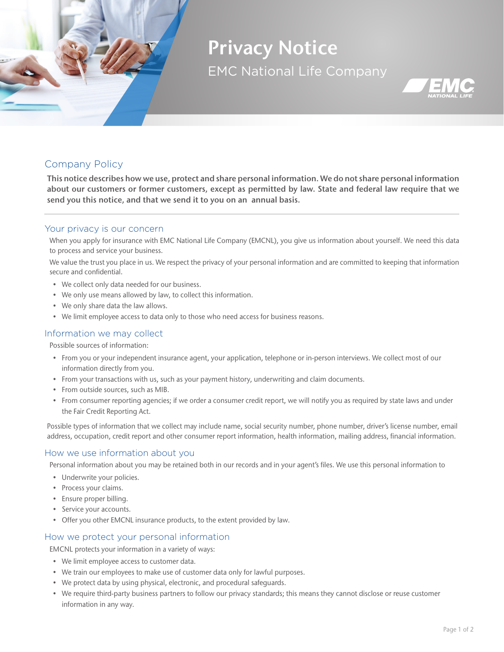

# Privacy Notice EMC National Life Company



## Company Policy

This notice describes how we use, protect and share personal information. We do not share personal information about our customers or former customers, except as permitted by law. State and federal law require that we send you this notice, and that we send it to you on an annual basis.

## Your privacy is our concern

When you apply for insurance with EMC National Life Company (EMCNL), you give us information about yourself. We need this data to process and service your business.

We value the trust you place in us. We respect the privacy of your personal information and are committed to keeping that information secure and confidential.

- We collect only data needed for our business.
- We only use means allowed by law, to collect this information.
- We only share data the law allows.
- We limit employee access to data only to those who need access for business reasons.

#### Information we may collect

Possible sources of information:

- From you or your independent insurance agent, your application, telephone or in-person interviews. We collect most of our information directly from you.
- From your transactions with us, such as your payment history, underwriting and claim documents.
- From outside sources, such as MIB.
- From consumer reporting agencies; if we order a consumer credit report, we will notify you as required by state laws and under the Fair Credit Reporting Act.

Possible types of information that we collect may include name, social security number, phone number, driver's license number, email address, occupation, credit report and other consumer report information, health information, mailing address, financial information.

#### How we use information about you

Personal information about you may be retained both in our records and in your agent's files. We use this personal information to

- Underwrite your policies.
- Process your claims.
- Ensure proper billing.
- Service your accounts.
- Offer you other EMCNL insurance products, to the extent provided by law.

#### How we protect your personal information

EMCNL protects your information in a variety of ways:

- We limit employee access to customer data.
- We train our employees to make use of customer data only for lawful purposes.
- We protect data by using physical, electronic, and procedural safeguards.
- We require third-party business partners to follow our privacy standards; this means they cannot disclose or reuse customer information in any way.